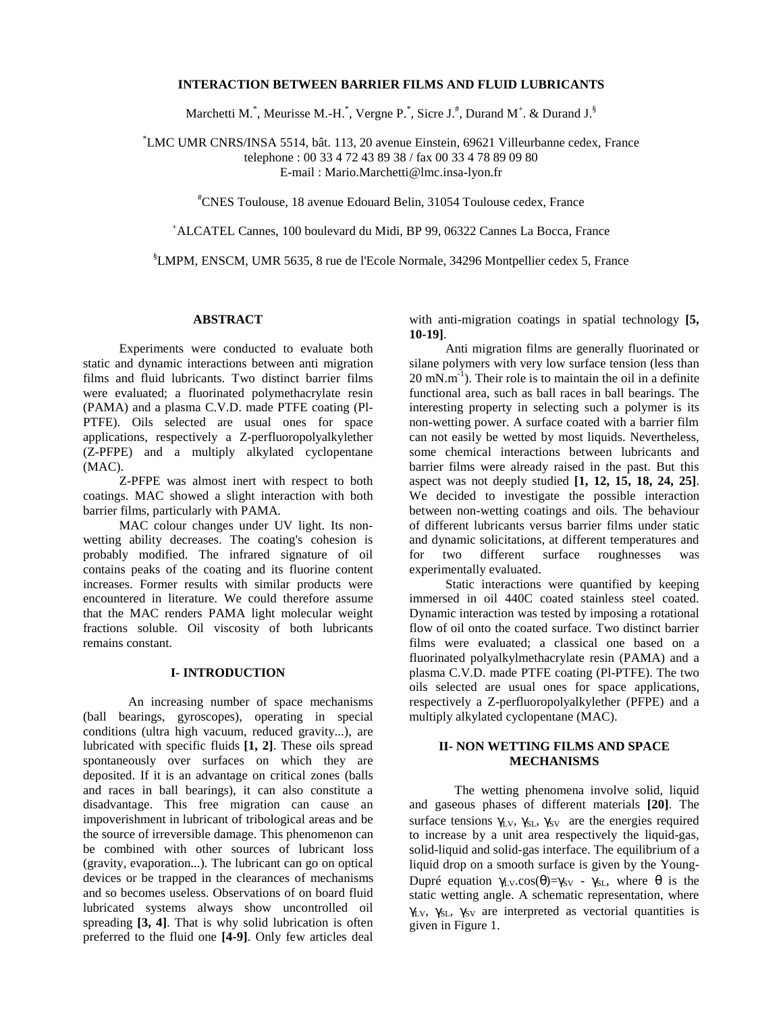# **INTERACTION BETWEEN BARRIER FILMS AND FLUID LUBRICANTS**

Marchetti M.\*, Meurisse M.-H.\*, Vergne P.\*, Sicre J.\*, Durand M<sup>+</sup>. & Durand J. $^8$ 

\* LMC UMR CNRS/INSA 5514, bât. 113, 20 avenue Einstein, 69621 Villeurbanne cedex, France telephone : 00 33 4 72 43 89 38 / fax 00 33 4 78 89 09 80 E-mail : Mario.Marchetti@lmc.insa-lyon.fr

# CNES Toulouse, 18 avenue Edouard Belin, 31054 Toulouse cedex, France

+ ALCATEL Cannes, 100 boulevard du Midi, BP 99, 06322 Cannes La Bocca, France

§ LMPM, ENSCM, UMR 5635, 8 rue de l'Ecole Normale, 34296 Montpellier cedex 5, France

### **ABSTRACT**

Experiments were conducted to evaluate both static and dynamic interactions between anti migration films and fluid lubricants. Two distinct barrier films were evaluated; a fluorinated polymethacrylate resin (PAMA) and a plasma C.V.D. made PTFE coating (Pl-PTFE). Oils selected are usual ones for space applications, respectively a Z-perfluoropolyalkylether (Z-PFPE) and a multiply alkylated cyclopentane (MAC).

Z-PFPE was almost inert with respect to both coatings. MAC showed a slight interaction with both barrier films, particularly with PAMA.

MAC colour changes under UV light. Its nonwetting ability decreases. The coating's cohesion is probably modified. The infrared signature of oil contains peaks of the coating and its fluorine content increases. Former results with similar products were encountered in literature. We could therefore assume that the MAC renders PAMA light molecular weight fractions soluble. Oil viscosity of both lubricants remains constant.

## **I- INTRODUCTION**

An increasing number of space mechanisms (ball bearings, gyroscopes), operating in special conditions (ultra high vacuum, reduced gravity...), are lubricated with specific fluids **[1, 2]**. These oils spread spontaneously over surfaces on which they are deposited. If it is an advantage on critical zones (balls and races in ball bearings), it can also constitute a disadvantage. This free migration can cause an impoverishment in lubricant of tribological areas and be the source of irreversible damage. This phenomenon can be combined with other sources of lubricant loss (gravity, evaporation...). The lubricant can go on optical devices or be trapped in the clearances of mechanisms and so becomes useless. Observations of on board fluid lubricated systems always show uncontrolled oil spreading **[3, 4]**. That is why solid lubrication is often preferred to the fluid one **[4-9]**. Only few articles deal

with anti-migration coatings in spatial technology **[5, 10-19]**.

Anti migration films are generally fluorinated or silane polymers with very low surface tension (less than  $20 \text{ mN.m}^{-1}$ ). Their role is to maintain the oil in a definite functional area, such as ball races in ball bearings. The interesting property in selecting such a polymer is its non-wetting power. A surface coated with a barrier film can not easily be wetted by most liquids. Nevertheless, some chemical interactions between lubricants and barrier films were already raised in the past. But this aspect was not deeply studied **[1, 12, 15, 18, 24, 25]**. We decided to investigate the possible interaction between non-wetting coatings and oils. The behaviour of different lubricants versus barrier films under static and dynamic solicitations, at different temperatures and for two different surface roughnesses was experimentally evaluated.

Static interactions were quantified by keeping immersed in oil 440C coated stainless steel coated. Dynamic interaction was tested by imposing a rotational flow of oil onto the coated surface. Two distinct barrier films were evaluated; a classical one based on a fluorinated polyalkylmethacrylate resin (PAMA) and a plasma C.V.D. made PTFE coating (Pl-PTFE). The two oils selected are usual ones for space applications, respectively a Z-perfluoropolyalkylether (PFPE) and a multiply alkylated cyclopentane (MAC).

# **II- NON WETTING FILMS AND SPACE MECHANISMS**

The wetting phenomena involve solid, liquid and gaseous phases of different materials **[20]**. The surface tensions  $\gamma_{LV}$ ,  $\gamma_{SL}$ ,  $\gamma_{SV}$  are the energies required to increase by a unit area respectively the liquid-gas, solid-liquid and solid-gas interface. The equilibrium of a liquid drop on a smooth surface is given by the Young-Dupré equation  $\gamma_{\rm LV} \cdot \cos(\theta) = \gamma_{\rm SV} - \gamma_{\rm SL}$ , where  $\theta$  is the static wetting angle. A schematic representation, where  $\gamma_{\rm LV}$ ,  $\gamma_{\rm SL}$ ,  $\gamma_{\rm SV}$  are interpreted as vectorial quantities is given in Figure 1.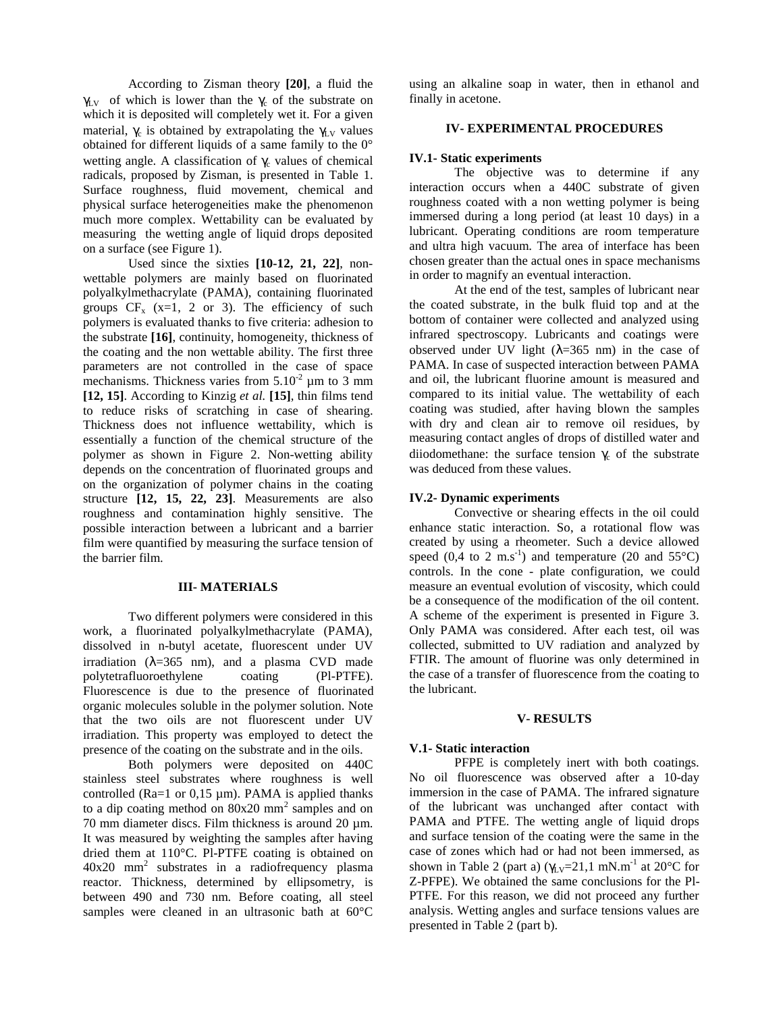According to Zisman theory **[20]**, a fluid the  $\gamma_{\rm LV}$  of which is lower than the  $\gamma_c$  of the substrate on which it is deposited will completely wet it. For a given material,  $\gamma_c$  is obtained by extrapolating the  $\gamma_{\rm LV}$  values obtained for different liquids of a same family to the 0° wetting angle. A classification of  $\gamma_c$  values of chemical radicals, proposed by Zisman, is presented in Table 1. Surface roughness, fluid movement, chemical and physical surface heterogeneities make the phenomenon much more complex. Wettability can be evaluated by measuring the wetting angle of liquid drops deposited on a surface (see Figure 1).

Used since the sixties **[10-12, 21, 22]**, nonwettable polymers are mainly based on fluorinated polyalkylmethacrylate (PAMA), containing fluorinated groups  $CF_x$  (x=1, 2 or 3). The efficiency of such polymers is evaluated thanks to five criteria: adhesion to the substrate **[16]**, continuity, homogeneity, thickness of the coating and the non wettable ability. The first three parameters are not controlled in the case of space mechanisms. Thickness varies from  $5.10^{-2}$  µm to 3 mm **[12, 15]**. According to Kinzig *et al.* **[15]**, thin films tend to reduce risks of scratching in case of shearing. Thickness does not influence wettability, which is essentially a function of the chemical structure of the polymer as shown in Figure 2. Non-wetting ability depends on the concentration of fluorinated groups and on the organization of polymer chains in the coating structure **[12, 15, 22, 23]**. Measurements are also roughness and contamination highly sensitive. The possible interaction between a lubricant and a barrier film were quantified by measuring the surface tension of the barrier film.

### **III- MATERIALS**

Two different polymers were considered in this work, a fluorinated polyalkylmethacrylate (PAMA), dissolved in n-butyl acetate, fluorescent under UV irradiation ( $\lambda$ =365 nm), and a plasma CVD made polytetrafluoroethylene coating (Pl-PTFE). Fluorescence is due to the presence of fluorinated organic molecules soluble in the polymer solution. Note that the two oils are not fluorescent under UV irradiation. This property was employed to detect the presence of the coating on the substrate and in the oils.

Both polymers were deposited on 440C stainless steel substrates where roughness is well controlled (Ra=1 or 0,15  $\mu$ m). PAMA is applied thanks to a dip coating method on  $80x20$  mm<sup>2</sup> samples and on 70 mm diameter discs. Film thickness is around 20 µm. It was measured by weighting the samples after having dried them at 110°C. Pl-PTFE coating is obtained on  $40x20$  mm<sup>2</sup> substrates in a radiofrequency plasma reactor. Thickness, determined by ellipsometry, is between 490 and 730 nm. Before coating, all steel samples were cleaned in an ultrasonic bath at 60°C

using an alkaline soap in water, then in ethanol and finally in acetone.

## **IV- EXPERIMENTAL PROCEDURES**

### **IV.1- Static experiments**

The objective was to determine if any interaction occurs when a 440C substrate of given roughness coated with a non wetting polymer is being immersed during a long period (at least 10 days) in a lubricant. Operating conditions are room temperature and ultra high vacuum. The area of interface has been chosen greater than the actual ones in space mechanisms in order to magnify an eventual interaction.

At the end of the test, samples of lubricant near the coated substrate, in the bulk fluid top and at the bottom of container were collected and analyzed using infrared spectroscopy. Lubricants and coatings were observed under UV light  $(\lambda=365 \text{ nm})$  in the case of PAMA. In case of suspected interaction between PAMA and oil, the lubricant fluorine amount is measured and compared to its initial value. The wettability of each coating was studied, after having blown the samples with dry and clean air to remove oil residues, by measuring contact angles of drops of distilled water and diiodomethane: the surface tension  $\gamma_c$  of the substrate was deduced from these values.

### **IV.2- Dynamic experiments**

Convective or shearing effects in the oil could enhance static interaction. So, a rotational flow was created by using a rheometer. Such a device allowed speed  $(0,4 \text{ to } 2 \text{ m.s}^{-1})$  and temperature  $(20 \text{ and } 55^{\circ}\text{C})$ controls. In the cone - plate configuration, we could measure an eventual evolution of viscosity, which could be a consequence of the modification of the oil content. A scheme of the experiment is presented in Figure 3. Only PAMA was considered. After each test, oil was collected, submitted to UV radiation and analyzed by FTIR. The amount of fluorine was only determined in the case of a transfer of fluorescence from the coating to the lubricant.

#### **V- RESULTS**

### **V.1- Static interaction**

PFPE is completely inert with both coatings. No oil fluorescence was observed after a 10-day immersion in the case of PAMA. The infrared signature of the lubricant was unchanged after contact with PAMA and PTFE. The wetting angle of liquid drops and surface tension of the coating were the same in the case of zones which had or had not been immersed, as shown in Table 2 (part a) ( $\gamma_{\rm LV}$ =21,1 mN.m<sup>-1</sup> at 20<sup>o</sup>C for Z-PFPE). We obtained the same conclusions for the Pl-PTFE. For this reason, we did not proceed any further analysis. Wetting angles and surface tensions values are presented in Table 2 (part b).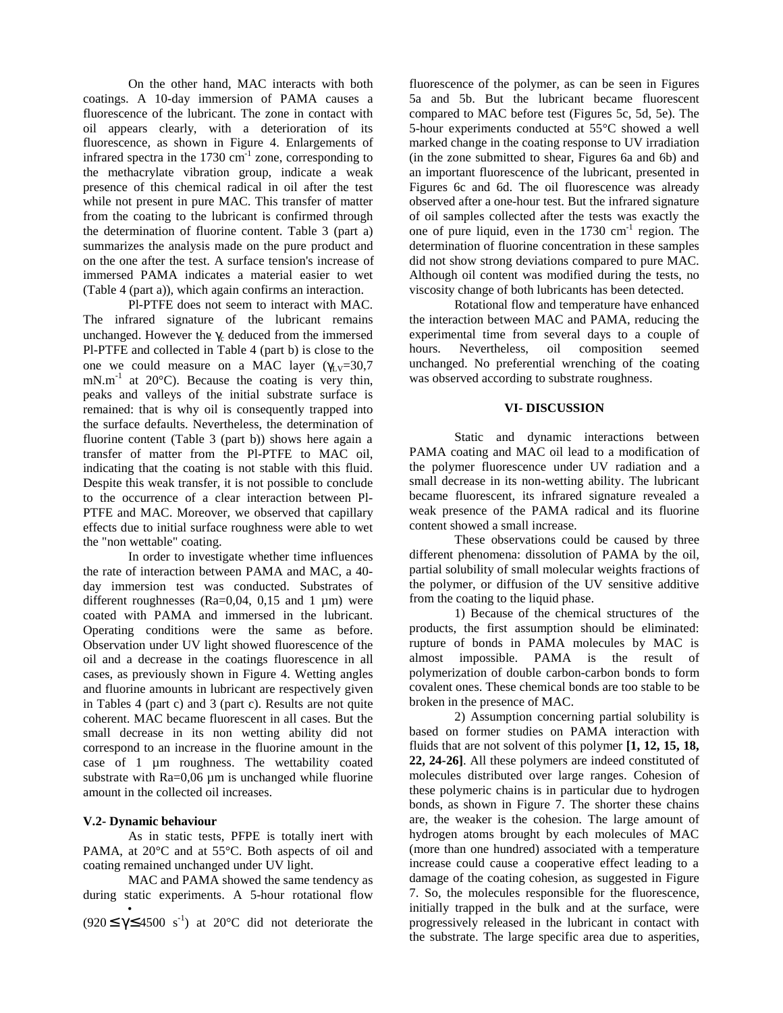On the other hand, MAC interacts with both coatings. A 10-day immersion of PAMA causes a fluorescence of the lubricant. The zone in contact with oil appears clearly, with a deterioration of its fluorescence, as shown in Figure 4. Enlargements of infrared spectra in the  $1730 \text{ cm}^{-1}$  zone, corresponding to the methacrylate vibration group, indicate a weak presence of this chemical radical in oil after the test while not present in pure MAC. This transfer of matter from the coating to the lubricant is confirmed through the determination of fluorine content. Table 3 (part a) summarizes the analysis made on the pure product and on the one after the test. A surface tension's increase of immersed PAMA indicates a material easier to wet (Table 4 (part a)), which again confirms an interaction.

Pl-PTFE does not seem to interact with MAC. The infrared signature of the lubricant remains unchanged. However the  $\gamma_c$  deduced from the immersed Pl-PTFE and collected in Table 4 (part b) is close to the one we could measure on a MAC layer ( $\gamma_{LV}=30,7$ )  $mN.m^{-1}$  at 20 $^{\circ}$ C). Because the coating is very thin, peaks and valleys of the initial substrate surface is remained: that is why oil is consequently trapped into the surface defaults. Nevertheless, the determination of fluorine content (Table 3 (part b)) shows here again a transfer of matter from the Pl-PTFE to MAC oil, indicating that the coating is not stable with this fluid. Despite this weak transfer, it is not possible to conclude to the occurrence of a clear interaction between Pl-PTFE and MAC. Moreover, we observed that capillary effects due to initial surface roughness were able to wet the "non wettable" coating.

In order to investigate whether time influences the rate of interaction between PAMA and MAC, a 40 day immersion test was conducted. Substrates of different roughnesses ( $Ra=0.04$ , 0,15 and 1  $\mu$ m) were coated with PAMA and immersed in the lubricant. Operating conditions were the same as before. Observation under UV light showed fluorescence of the oil and a decrease in the coatings fluorescence in all cases, as previously shown in Figure 4. Wetting angles and fluorine amounts in lubricant are respectively given in Tables 4 (part c) and 3 (part c). Results are not quite coherent. MAC became fluorescent in all cases. But the small decrease in its non wetting ability did not correspond to an increase in the fluorine amount in the case of 1 µm roughness. The wettability coated substrate with Ra=0,06 µm is unchanged while fluorine amount in the collected oil increases.

## **V.2- Dynamic behaviour**

As in static tests, PFPE is totally inert with PAMA, at 20°C and at 55°C. Both aspects of oil and coating remained unchanged under UV light.

MAC and PAMA showed the same tendency as during static experiments. A 5-hour rotational flow

 $(920 \le \gamma \le 4500 \text{ s}^{-1})$  at 20°C did not deteriorate the

fluorescence of the polymer, as can be seen in Figures 5a and 5b. But the lubricant became fluorescent compared to MAC before test (Figures 5c, 5d, 5e). The 5-hour experiments conducted at 55°C showed a well marked change in the coating response to UV irradiation (in the zone submitted to shear, Figures 6a and 6b) and an important fluorescence of the lubricant, presented in Figures 6c and 6d. The oil fluorescence was already observed after a one-hour test. But the infrared signature of oil samples collected after the tests was exactly the one of pure liquid, even in the  $1730 \text{ cm}^{-1}$  region. The determination of fluorine concentration in these samples did not show strong deviations compared to pure MAC. Although oil content was modified during the tests, no viscosity change of both lubricants has been detected.

Rotational flow and temperature have enhanced the interaction between MAC and PAMA, reducing the experimental time from several days to a couple of hours. Nevertheless, oil composition seemed unchanged. No preferential wrenching of the coating was observed according to substrate roughness.

## **VI- DISCUSSION**

Static and dynamic interactions between PAMA coating and MAC oil lead to a modification of the polymer fluorescence under UV radiation and a small decrease in its non-wetting ability. The lubricant became fluorescent, its infrared signature revealed a weak presence of the PAMA radical and its fluorine content showed a small increase.

These observations could be caused by three different phenomena: dissolution of PAMA by the oil, partial solubility of small molecular weights fractions of the polymer, or diffusion of the UV sensitive additive from the coating to the liquid phase.

1) Because of the chemical structures of the products, the first assumption should be eliminated: rupture of bonds in PAMA molecules by MAC is almost impossible. PAMA is the result of polymerization of double carbon-carbon bonds to form covalent ones. These chemical bonds are too stable to be broken in the presence of MAC.

2) Assumption concerning partial solubility is based on former studies on PAMA interaction with fluids that are not solvent of this polymer **[1, 12, 15, 18, 22, 24-26]**. All these polymers are indeed constituted of molecules distributed over large ranges. Cohesion of these polymeric chains is in particular due to hydrogen bonds, as shown in Figure 7. The shorter these chains are, the weaker is the cohesion. The large amount of hydrogen atoms brought by each molecules of MAC (more than one hundred) associated with a temperature increase could cause a cooperative effect leading to a damage of the coating cohesion, as suggested in Figure 7. So, the molecules responsible for the fluorescence, initially trapped in the bulk and at the surface, were progressively released in the lubricant in contact with the substrate. The large specific area due to asperities,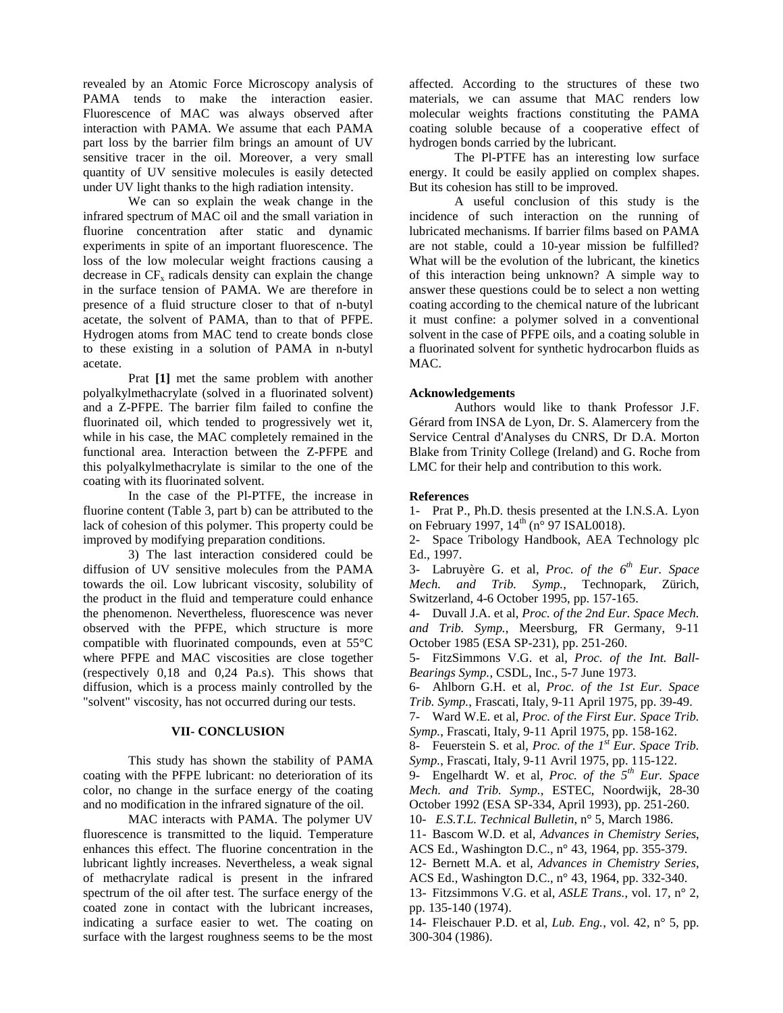revealed by an Atomic Force Microscopy analysis of PAMA tends to make the interaction easier. Fluorescence of MAC was always observed after interaction with PAMA. We assume that each PAMA part loss by the barrier film brings an amount of UV sensitive tracer in the oil. Moreover, a very small quantity of UV sensitive molecules is easily detected under UV light thanks to the high radiation intensity.

We can so explain the weak change in the infrared spectrum of MAC oil and the small variation in fluorine concentration after static and dynamic experiments in spite of an important fluorescence. The loss of the low molecular weight fractions causing a decrease in  $CF_x$  radicals density can explain the change in the surface tension of PAMA. We are therefore in presence of a fluid structure closer to that of n-butyl acetate, the solvent of PAMA, than to that of PFPE. Hydrogen atoms from MAC tend to create bonds close to these existing in a solution of PAMA in n-butyl acetate.

Prat **[1]** met the same problem with another polyalkylmethacrylate (solved in a fluorinated solvent) and a Z-PFPE. The barrier film failed to confine the fluorinated oil, which tended to progressively wet it, while in his case, the MAC completely remained in the functional area. Interaction between the Z-PFPE and this polyalkylmethacrylate is similar to the one of the coating with its fluorinated solvent.

In the case of the Pl-PTFE, the increase in fluorine content (Table 3, part b) can be attributed to the lack of cohesion of this polymer. This property could be improved by modifying preparation conditions.

3) The last interaction considered could be diffusion of UV sensitive molecules from the PAMA towards the oil. Low lubricant viscosity, solubility of the product in the fluid and temperature could enhance the phenomenon. Nevertheless, fluorescence was never observed with the PFPE, which structure is more compatible with fluorinated compounds, even at 55°C where PFPE and MAC viscosities are close together (respectively 0,18 and 0,24 Pa.s). This shows that diffusion, which is a process mainly controlled by the "solvent" viscosity, has not occurred during our tests.

### **VII- CONCLUSION**

This study has shown the stability of PAMA coating with the PFPE lubricant: no deterioration of its color, no change in the surface energy of the coating and no modification in the infrared signature of the oil.

MAC interacts with PAMA. The polymer UV fluorescence is transmitted to the liquid. Temperature enhances this effect. The fluorine concentration in the lubricant lightly increases. Nevertheless, a weak signal of methacrylate radical is present in the infrared spectrum of the oil after test. The surface energy of the coated zone in contact with the lubricant increases, indicating a surface easier to wet. The coating on surface with the largest roughness seems to be the most

affected. According to the structures of these two materials, we can assume that MAC renders low molecular weights fractions constituting the PAMA coating soluble because of a cooperative effect of hydrogen bonds carried by the lubricant.

The Pl-PTFE has an interesting low surface energy. It could be easily applied on complex shapes. But its cohesion has still to be improved.

A useful conclusion of this study is the incidence of such interaction on the running of lubricated mechanisms. If barrier films based on PAMA are not stable, could a 10-year mission be fulfilled? What will be the evolution of the lubricant, the kinetics of this interaction being unknown? A simple way to answer these questions could be to select a non wetting coating according to the chemical nature of the lubricant it must confine: a polymer solved in a conventional solvent in the case of PFPE oils, and a coating soluble in a fluorinated solvent for synthetic hydrocarbon fluids as MAC.

## **Acknowledgements**

Authors would like to thank Professor J.F. Gérard from INSA de Lyon, Dr. S. Alamercery from the Service Central d'Analyses du CNRS, Dr D.A. Morton Blake from Trinity College (Ireland) and G. Roche from LMC for their help and contribution to this work.

## **References**

1- Prat P., Ph.D. thesis presented at the I.N.S.A. Lyon on February 1997,  $14^{th}$  (n° 97 ISAL0018).

2- Space Tribology Handbook, AEA Technology plc Ed., 1997.

3- Labruyère G. et al, *Proc. of the 6th Eur. Space Mech. and Trib. Symp.*, Technopark, Zürich, Switzerland, 4-6 October 1995, pp. 157-165.

4- Duvall J.A. et al, *Proc. of the 2nd Eur. Space Mech. and Trib. Symp.*, Meersburg, FR Germany, 9-11 October 1985 (ESA SP-231), pp. 251-260.

5- FitzSimmons V.G. et al, *Proc. of the Int. Ball-Bearings Symp.*, CSDL, Inc., 5-7 June 1973.

6- Ahlborn G.H. et al, *Proc. of the 1st Eur. Space Trib. Symp.*, Frascati, Italy, 9-11 April 1975, pp. 39-49.

7- Ward W.E. et al, *Proc. of the First Eur. Space Trib. Symp.*, Frascati, Italy, 9-11 April 1975, pp. 158-162.

8- Feuerstein S. et al, *Proc. of the 1st Eur. Space Trib.*

*Symp.*, Frascati, Italy, 9-11 Avril 1975, pp. 115-122.

9- Engelhardt W. et al, *Proc. of the 5th Eur. Space Mech. and Trib. Symp.*, ESTEC, Noordwijk, 28-30 October 1992 (ESA SP-334, April 1993), pp. 251-260.

10- *E.S.T.L. Technical Bulletin*, n° 5, March 1986.

11- Bascom W.D. et al, *Advances in Chemistry Series*, ACS Ed., Washington D.C., n° 43, 1964, pp. 355-379.

12- Bernett M.A. et al, *Advances in Chemistry Series*, ACS Ed., Washington D.C., n° 43, 1964, pp. 332-340.

13- Fitzsimmons V.G. et al, *ASLE Trans.*, vol. 17, n° 2, pp. 135-140 (1974).

14- Fleischauer P.D. et al, *Lub. Eng.*, vol. 42, n° 5, pp. 300-304 (1986).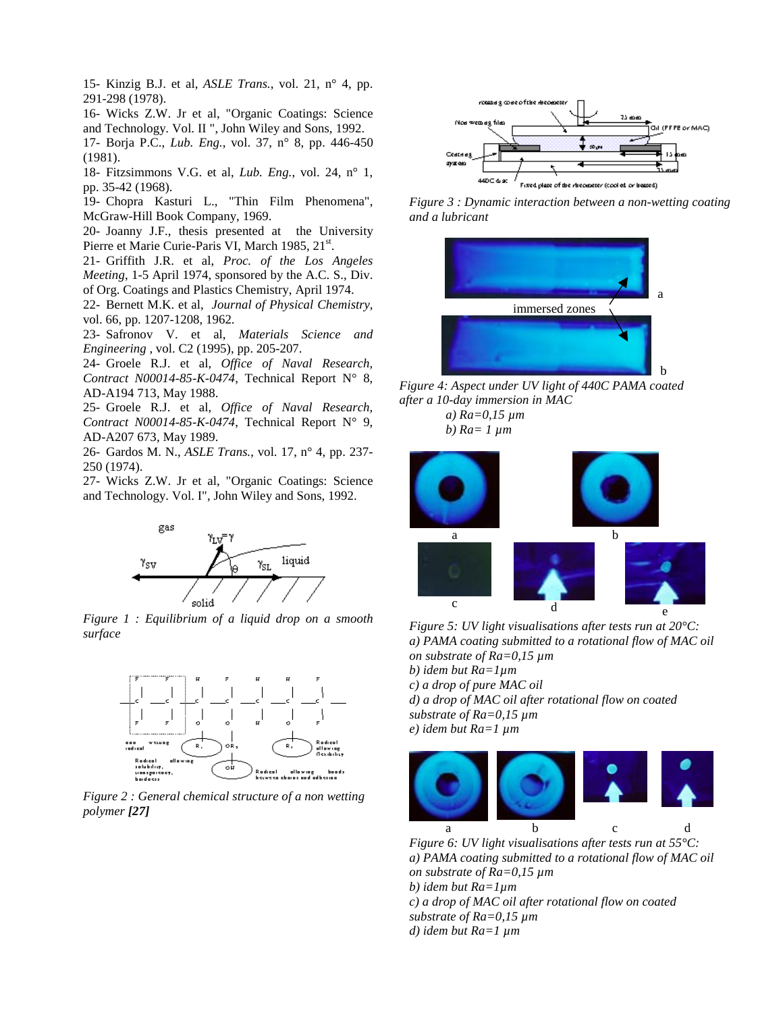15- Kinzig B.J. et al, *ASLE Trans.*, vol. 21, n° 4, pp. 291-298 (1978).

16- Wicks Z.W. Jr et al, "Organic Coatings: Science and Technology. Vol. II ", John Wiley and Sons, 1992.

17- Borja P.C., *Lub. Eng.*, vol. 37, n° 8, pp. 446-450 (1981).

18- Fitzsimmons V.G. et al, *Lub. Eng.*, vol. 24, n° 1, pp. 35-42 (1968).

19- Chopra Kasturi L., "Thin Film Phenomena", McGraw-Hill Book Company, 1969.

20- Joanny J.F., thesis presented at the University Pierre et Marie Curie-Paris VI, March 1985, 21st.

21- Griffith J.R. et al, *Proc. of the Los Angeles Meeting*, 1-5 April 1974, sponsored by the A.C. S., Div. of Org. Coatings and Plastics Chemistry, April 1974.

22- Bernett M.K. et al, *Journal of Physical Chemistry*, vol. 66, pp. 1207-1208, 1962.

23- Safronov V. et al, *Materials Science and Engineering* , vol. C2 (1995), pp. 205-207.

24- Groele R.J. et al, *Office of Naval Research, Contract N00014-85-K-0474*, Technical Report N° 8, AD-A194 713, May 1988.

25- Groele R.J. et al, *Office of Naval Research, Contract N00014-85-K-0474*, Technical Report N° 9, AD-A207 673, May 1989.

26- Gardos M. N., *ASLE Trans.*, vol. 17, n° 4, pp. 237- 250 (1974).

27- Wicks Z.W. Jr et al, "Organic Coatings: Science and Technology. Vol. I", John Wiley and Sons, 1992.



*Figure 1 : Equilibrium of a liquid drop on a smooth surface*



*Figure 2 : General chemical structure of a non wetting polymer [27]*



*Figure 3 : Dynamic interaction between a non-wetting coating and a lubricant*



*Figure 4: Aspect under UV light of 440C PAMA coated after a 10-day immersion in MAC a) Ra=0,15 µm*

*b) Ra= 1 µm*



*Figure 5: UV light visualisations after tests run at 20°C: a) PAMA coating submitted to a rotational flow of MAC oil on substrate of Ra=0,15 µm b) idem but Ra=1µm c) a drop of pure MAC oil d) a drop of MAC oil after rotational flow on coated substrate of Ra=0,15 µm e) idem but Ra=1 µm*



a b c d *Figure 6: UV light visualisations after tests run at 55°C: a) PAMA coating submitted to a rotational flow of MAC oil on substrate of Ra=0,15 µm b) idem but Ra=1µm c) a drop of MAC oil after rotational flow on coated substrate of Ra=0,15 µm d) idem but Ra=1 µm*